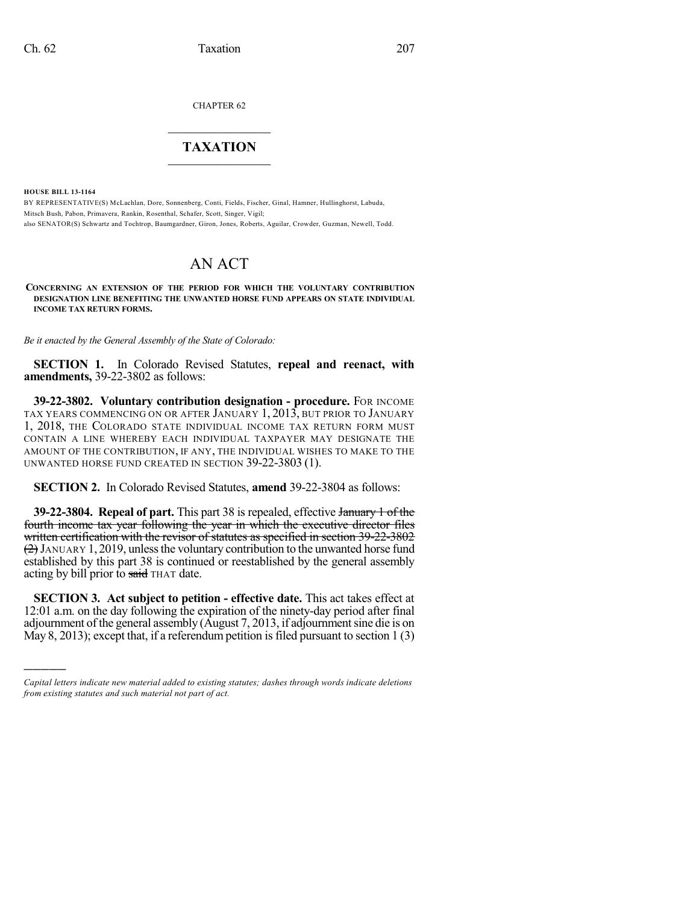CHAPTER 62

## $\overline{\phantom{a}}$  . The set of the set of the set of the set of the set of the set of the set of the set of the set of the set of the set of the set of the set of the set of the set of the set of the set of the set of the set o **TAXATION**  $\_$

**HOUSE BILL 13-1164**

)))))

BY REPRESENTATIVE(S) McLachlan, Dore, Sonnenberg, Conti, Fields, Fischer, Ginal, Hamner, Hullinghorst, Labuda, Mitsch Bush, Pabon, Primavera, Rankin, Rosenthal, Schafer, Scott, Singer, Vigil; also SENATOR(S) Schwartz and Tochtrop, Baumgardner, Giron, Jones, Roberts, Aguilar, Crowder, Guzman, Newell, Todd.

## AN ACT

**CONCERNING AN EXTENSION OF THE PERIOD FOR WHICH THE VOLUNTARY CONTRIBUTION DESIGNATION LINE BENEFITING THE UNWANTED HORSE FUND APPEARS ON STATE INDIVIDUAL INCOME TAX RETURN FORMS.**

*Be it enacted by the General Assembly of the State of Colorado:*

**SECTION 1.** In Colorado Revised Statutes, **repeal and reenact, with amendments,** 39-22-3802 as follows:

**39-22-3802. Voluntary contribution designation - procedure.** FOR INCOME TAX YEARS COMMENCING ON OR AFTER JANUARY 1, 2013, BUT PRIOR TO JANUARY 1, 2018, THE COLORADO STATE INDIVIDUAL INCOME TAX RETURN FORM MUST CONTAIN A LINE WHEREBY EACH INDIVIDUAL TAXPAYER MAY DESIGNATE THE AMOUNT OF THE CONTRIBUTION, IF ANY, THE INDIVIDUAL WISHES TO MAKE TO THE UNWANTED HORSE FUND CREATED IN SECTION 39-22-3803 (1).

**SECTION 2.** In Colorado Revised Statutes, **amend** 39-22-3804 as follows:

**39-22-3804. Repeal of part.** This part 38 is repealed, effective January 1 of the fourth income tax year following the year in which the executive director files written certification with the revisor of statutes as specified in section 39-22-3802  $(2)$  JANUARY 1, 2019, unless the voluntary contribution to the unwanted horse fund established by this part 38 is continued or reestablished by the general assembly acting by bill prior to said THAT date.

**SECTION 3. Act subject to petition - effective date.** This act takes effect at 12:01 a.m. on the day following the expiration of the ninety-day period after final adjournment of the general assembly (August 7, 2013, if adjournmentsine die is on May 8, 2013); except that, if a referendum petition is filed pursuant to section  $1(3)$ 

*Capital letters indicate new material added to existing statutes; dashes through words indicate deletions from existing statutes and such material not part of act.*